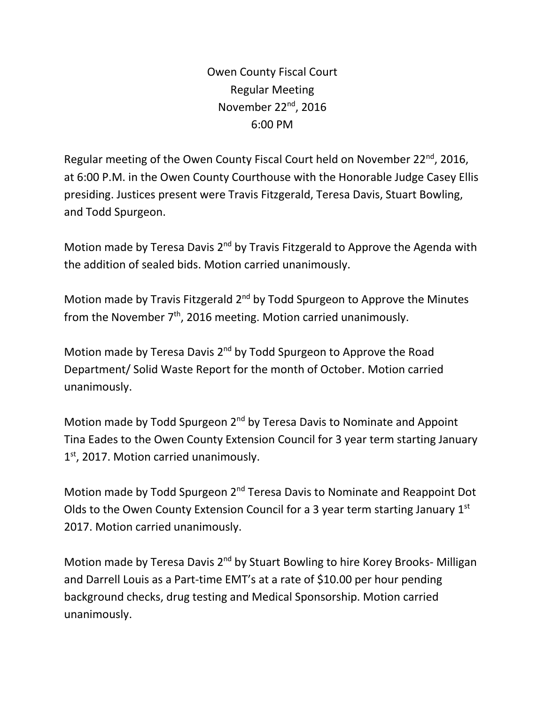Owen County Fiscal Court Regular Meeting November 22<sup>nd</sup>, 2016 6:00 PM

Regular meeting of the Owen County Fiscal Court held on November 22<sup>nd</sup>, 2016, at 6:00 P.M. in the Owen County Courthouse with the Honorable Judge Casey Ellis presiding. Justices present were Travis Fitzgerald, Teresa Davis, Stuart Bowling, and Todd Spurgeon.

Motion made by Teresa Davis 2<sup>nd</sup> by Travis Fitzgerald to Approve the Agenda with the addition of sealed bids. Motion carried unanimously.

Motion made by Travis Fitzgerald 2<sup>nd</sup> by Todd Spurgeon to Approve the Minutes from the November  $7<sup>th</sup>$ , 2016 meeting. Motion carried unanimously.

Motion made by Teresa Davis 2<sup>nd</sup> by Todd Spurgeon to Approve the Road Department/ Solid Waste Report for the month of October. Motion carried unanimously.

Motion made by Todd Spurgeon 2<sup>nd</sup> by Teresa Davis to Nominate and Appoint Tina Eades to the Owen County Extension Council for 3 year term starting January 1<sup>st</sup>, 2017. Motion carried unanimously.

Motion made by Todd Spurgeon 2<sup>nd</sup> Teresa Davis to Nominate and Reappoint Dot Olds to the Owen County Extension Council for a 3 year term starting January 1st 2017. Motion carried unanimously.

Motion made by Teresa Davis 2<sup>nd</sup> by Stuart Bowling to hire Korey Brooks- Milligan and Darrell Louis as a Part-time EMT's at a rate of \$10.00 per hour pending background checks, drug testing and Medical Sponsorship. Motion carried unanimously.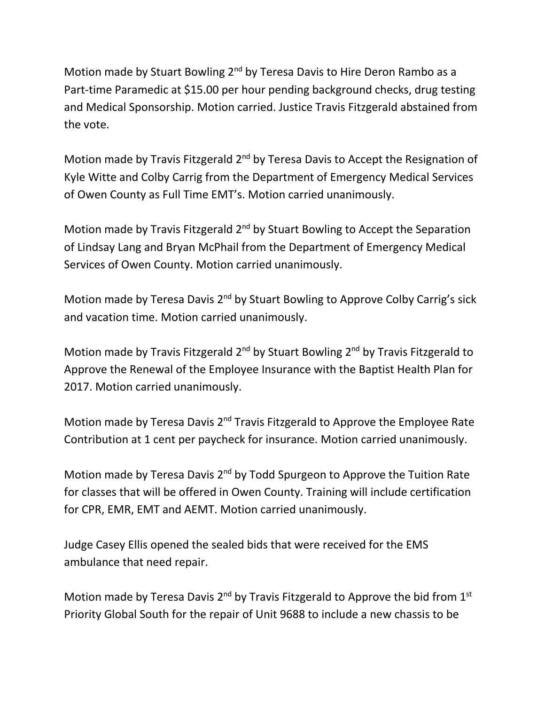Motion made by Stuart Bowling 2<sup>nd</sup> by Teresa Davis to Hire Deron Rambo as a Part-time Paramedic at \$15.00 per hour pending background checks, drug testing and Medical Sponsorship. Motion carried. Justice Travis Fitzgerald abstained from the vote.

Motion made by Travis Fitzgerald 2<sup>nd</sup> by Teresa Davis to Accept the Resignation of Kyle Witte and Colby Carrig from the Department of Emergency Medical Services of Owen County as Full Time EMT's. Motion carried unanimously.

Motion made by Travis Fitzgerald 2<sup>nd</sup> by Stuart Bowling to Accept the Separation of Lindsay Lang and Bryan McPhail from the Department of Emergency Medical Services of Owen County. Motion carried unanimously.

Motion made by Teresa Davis 2<sup>nd</sup> by Stuart Bowling to Approve Colby Carrig's sick and vacation time. Motion carried unanimously.

Motion made by Travis Fitzgerald 2<sup>nd</sup> by Stuart Bowling 2<sup>nd</sup> by Travis Fitzgerald to Approve the Renewal of the Employee Insurance with the Baptist Health Plan for 2017. Motion carried unanimously.

Motion made by Teresa Davis 2<sup>nd</sup> Travis Fitzgerald to Approve the Employee Rate Contribution at 1 cent per paycheck for insurance. Motion carried unanimously.

Motion made by Teresa Davis 2nd by Todd Spurgeon to Approve the Tuition Rate for classes that will be offered in Owen County. Training will include certification for CPR, EMR, EMT and AEMT. Motion carried unanimously.

Judge Casey Ellis opened the sealed bids that were received for the EMS ambulance that need repair.

Motion made by Teresa Davis 2<sup>nd</sup> by Travis Fitzgerald to Approve the bid from 1<sup>st</sup> Priority Global South for the repair of Unit 9688 to include a new chassis to be